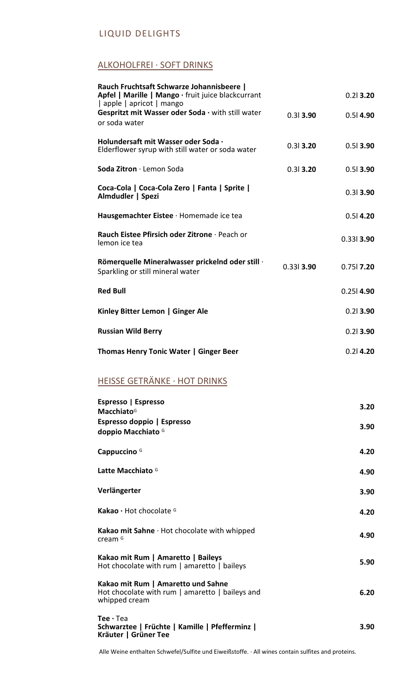#### ALKOHOLFREI · SOFT DRINKS

| Rauch Fruchtsaft Schwarze Johannisbeere  <br>Apfel   Marille   Mango · fruit juice blackcurrant            |              | $0.21$ 3.20  |
|------------------------------------------------------------------------------------------------------------|--------------|--------------|
| apple   apricot   mango<br>Gespritzt mit Wasser oder Soda · with still water                               | $0.31$ 3.90  | $0.51$ 4.90  |
| or soda water                                                                                              |              |              |
| Holundersaft mit Wasser oder Soda ·<br>Elderflower syrup with still water or soda water                    | $0.31$ 3.20  | $0.51$ 3.90  |
| Soda Zitron · Lemon Soda                                                                                   | $0.31$ 3.20  | $0.51$ 3.90  |
| Coca-Cola   Coca-Cola Zero   Fanta   Sprite  <br>Almdudler   Spezi                                         |              | $0.31$ 3.90  |
| Hausgemachter Eistee · Homemade ice tea                                                                    |              | $0.51$ 4.20  |
| Rauch Eistee Pfirsich oder Zitrone · Peach or<br>lemon ice tea                                             |              | $0.331$ 3.90 |
| Römerquelle Mineralwasser prickelnd oder still ·<br>Sparkling or still mineral water                       | $0.331$ 3.90 | $0.751$ 7.20 |
| <b>Red Bull</b>                                                                                            |              | $0.251$ 4.90 |
| Kinley Bitter Lemon   Ginger Ale                                                                           |              | $0.21$ 3.90  |
| <b>Russian Wild Berry</b>                                                                                  |              | $0.21$ 3.90  |
| Thomas Henry Tonic Water   Ginger Beer                                                                     |              | $0.21$ 4.20  |
| <b>HEISSE GETRÄNKE · HOT DRINKS</b>                                                                        |              |              |
| Espresso   Espresso                                                                                        |              | 3.20         |
| <b>Macchiato</b> <sup>G</sup><br>Espresso doppio   Espresso                                                |              |              |
| doppio Macchiato <sup>G</sup>                                                                              |              | 3.90         |
| Cappuccino <sup>G</sup>                                                                                    |              | 4.20         |
| Latte Macchiato <sup>G</sup>                                                                               |              | 4.90         |
| Verlängerter                                                                                               |              | 3.90         |
| Kakao · Hot chocolate <sup>G</sup>                                                                         |              | 4.20         |
| Kakao mit Sahne · Hot chocolate with whipped<br>cream <sup>G</sup>                                         |              | 4.90         |
| Kakao mit Rum   Amaretto   Baileys<br>Hot chocolate with rum   amaretto   baileys                          |              | 5.90         |
| Kakao mit Rum   Amaretto und Sahne<br>Hot chocolate with rum $ $ amaretto $ $ baileys and<br>whipped cream |              | 6.20         |
| Tee $\cdot$ Tea<br>Schwarztee   Früchte   Kamille   Pfefferminz  <br>Kräuter   Grüner Tee                  |              | 3.90         |

Alle Weine enthalten Schwefel/Sulfite und Eiweißstoffe. · All wines contain sulfites and proteins.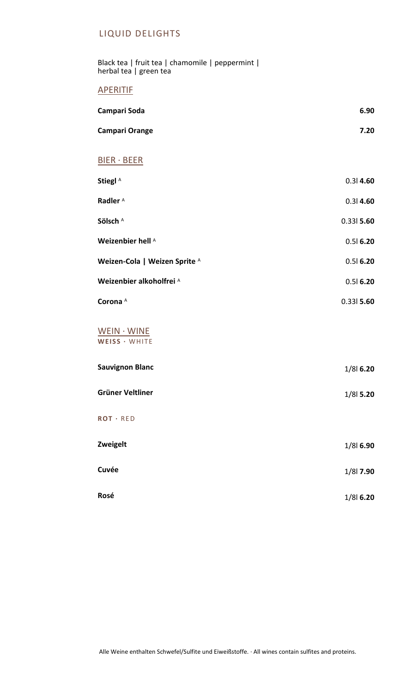Black tea | fruit tea | chamomile | peppermint | herbal tea | green tea

#### **APERITIF**

| Campari Soda                  | 6.90         |
|-------------------------------|--------------|
| Campari Orange                | 7.20         |
| <b>BIER · BEER</b>            |              |
| Stiegl <sup>A</sup>           | 0.314.60     |
| Radler <sup>A</sup>           | $0.31$ 4.60  |
| Sölsch A                      | $0.331$ 5.60 |
| Weizenbier hell A             | 0.516.20     |
| Weizen-Cola   Weizen Sprite A | 0.516.20     |
| Weizenbier alkoholfrei A      | 0.516.20     |
| Corona <sup>A</sup>           | $0.331$ 5.60 |
| WEIN · WINE<br>WEISS · WHITE  |              |
| <b>Sauvignon Blanc</b>        | 1/8 6.20     |
| Grüner Veltliner              | 1/8 5.20     |
| ROT · RED                     |              |
| Zweigelt                      | 1/8 6.90     |
| Cuvée                         | 1/8 7.90     |
| Rosé                          | 1/8 6.20     |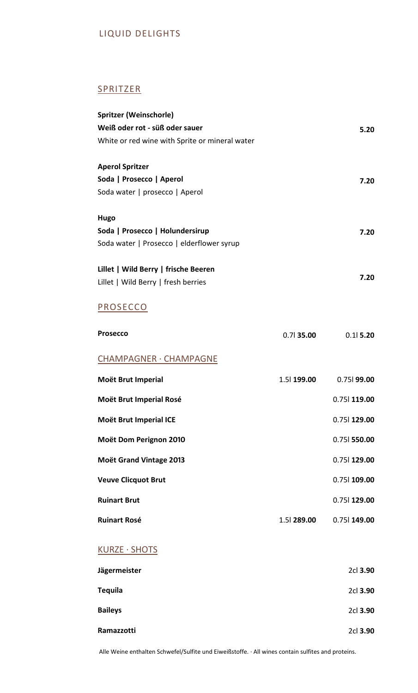# **SPRITZER**

| Spritzer (Weinschorle)<br>Weiß oder rot - süß oder sauer<br>White or red wine with Sprite or mineral water |                     | 5.20           |
|------------------------------------------------------------------------------------------------------------|---------------------|----------------|
| <b>Aperol Spritzer</b><br>Soda   Prosecco   Aperol<br>Soda water   prosecco   Aperol                       |                     | 7.20           |
| Hugo<br>Soda   Prosecco   Holundersirup<br>Soda water   Prosecco   elderflower syrup                       |                     | 7.20           |
| Lillet   Wild Berry   frische Beeren<br>Lillet   Wild Berry   fresh berries                                |                     | 7.20           |
| <b>PROSECCO</b>                                                                                            |                     |                |
| <b>Prosecco</b>                                                                                            | $0.71$ 35.00        | $0.11$ 5.20    |
| CHAMPAGNER · CHAMPAGNE                                                                                     |                     |                |
| Moët Brut Imperial                                                                                         | 1.5 <b>  199.00</b> | $0.751$ 99.00  |
| Moët Brut Imperial Rosé                                                                                    |                     | 0.75 119.00    |
| Moët Brut Imperial ICE                                                                                     |                     | 0.75 129.00    |
| Moët Dom Perignon 2010                                                                                     |                     | $0.751$ 550.00 |
| <b>Moët Grand Vintage 2013</b>                                                                             |                     | 0.75 129.00    |
| <b>Veuve Clicquot Brut</b>                                                                                 |                     | 0.75 109.00    |
| <b>Ruinart Brut</b>                                                                                        |                     | 0.75 129.00    |
| <b>Ruinart Rosé</b>                                                                                        | 1.5 289.00          | 0.75 149.00    |
| KURZE · SHOTS                                                                                              |                     |                |
| Jägermeister                                                                                               |                     | 2cl 3.90       |
| <b>Tequila</b>                                                                                             |                     | 2cl 3.90       |
| <b>Baileys</b>                                                                                             |                     | 2cl 3.90       |
| Ramazzotti                                                                                                 |                     | 2cl 3.90       |

Alle Weine enthalten Schwefel/Sulfite und Eiweißstoffe. · All wines contain sulfites and proteins.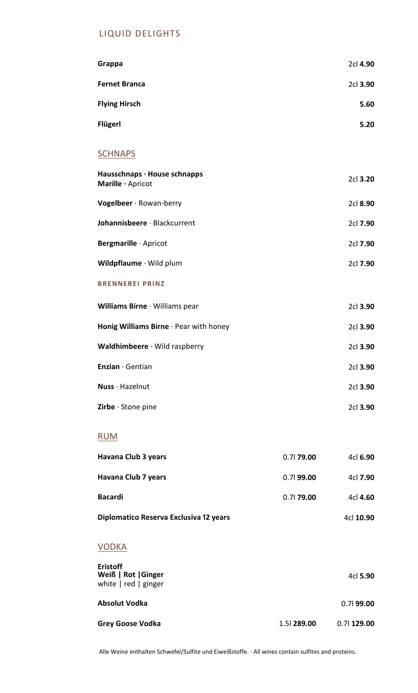| Grappa                                            | 2cl 4.90 |
|---------------------------------------------------|----------|
| <b>Fernet Branca</b>                              | 2cl 3.90 |
| <b>Flying Hirsch</b>                              | 5.60     |
| <b>Flügerl</b>                                    | 5.20     |
| <b>SCHNAPS</b>                                    |          |
| Hausschnaps · House schnapps<br>Marille · Apricot | 2cl 3.20 |
| Vogelbeer · Rowan-berry                           | 2cl 8.90 |
| Johannisbeere · Blackcurrent                      | 2cl 7.90 |
| Bergmarille · Apricot                             | 2cl 7.90 |
| Wildpflaume · Wild plum                           | 2cl 7.90 |
| <b>BRENNEREI PRINZ</b>                            |          |
| Williams Birne · Williams pear                    | 2cl 3.90 |
| Honig Williams Birne · Pear with honey            | 2cl 3.90 |
| Waldhimbeere · Wild raspberry                     | 2cl 3.90 |
| Enzian · Gentian                                  | 2cl 3.90 |
| Nuss · Hazelnut                                   | 2cl 3.90 |
| Zirbe · Stone pine                                | 2cl 3.90 |

#### RUM

| Havana Club 3 years                    | $0.71$ 79.00 | 4cl 6.90  |
|----------------------------------------|--------------|-----------|
| Havana Club 7 years                    | $0.71$ 99.00 | 4cl 7.90  |
| <b>Bacardi</b>                         | $0.71$ 79.00 | 4cl 4.60  |
| Diplomatico Reserva Exclusiva 12 years |              | 4cl 10.90 |
| VODKA                                  |              |           |

| <b>Eristoff</b><br>Weiß   Rot   Ginger<br>white $ $ red $ $ ginger |            | 4cl 5.90      |
|--------------------------------------------------------------------|------------|---------------|
| Absolut Vodka                                                      |            | $0.71$ 99.00  |
| Grey Goose Vodka                                                   | 1.5 289.00 | $0.71$ 129.00 |

Alle Weine enthalten Schwefel/Sulfite und Eiweißstoffe. · All wines contain sulfites and proteins.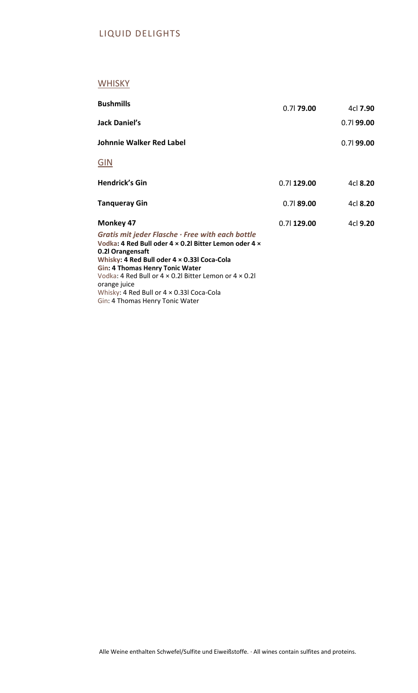# **WHISKY**

| <b>Bushmills</b>                                                                                                                                                                                                                                                                                                                                                                                             | $0.71$ 79.00  | 4cl 7.90     |
|--------------------------------------------------------------------------------------------------------------------------------------------------------------------------------------------------------------------------------------------------------------------------------------------------------------------------------------------------------------------------------------------------------------|---------------|--------------|
| Jack Daniel's                                                                                                                                                                                                                                                                                                                                                                                                |               | $0.71$ 99.00 |
| <b>Johnnie Walker Red Label</b>                                                                                                                                                                                                                                                                                                                                                                              |               | $0.71$ 99.00 |
| <u>GIN</u>                                                                                                                                                                                                                                                                                                                                                                                                   |               |              |
| <b>Hendrick's Gin</b>                                                                                                                                                                                                                                                                                                                                                                                        | $0.71$ 129.00 | 4cl 8.20     |
| <b>Tangueray Gin</b>                                                                                                                                                                                                                                                                                                                                                                                         | $0.71$ 89.00  | 4cl 8.20     |
| <b>Monkey 47</b><br>Gratis mit jeder Flasche $\cdot$ Free with each bottle<br>Vodka: 4 Red Bull oder 4 x 0.2 Bitter Lemon oder 4 x<br>0.21 Orangensaft<br>Whisky: 4 Red Bull oder 4 × 0.33 Coca-Cola<br>Gin: 4 Thomas Henry Tonic Water<br>Vodka: 4 Red Bull or $4 \times 0.2$ Bitter Lemon or $4 \times 0.2$<br>orange juice<br>Whisky: 4 Red Bull or 4 x 0.33 Coca-Cola<br>Gin: 4 Thomas Henry Tonic Water | $0.71$ 129.00 | 4cl 9.20     |